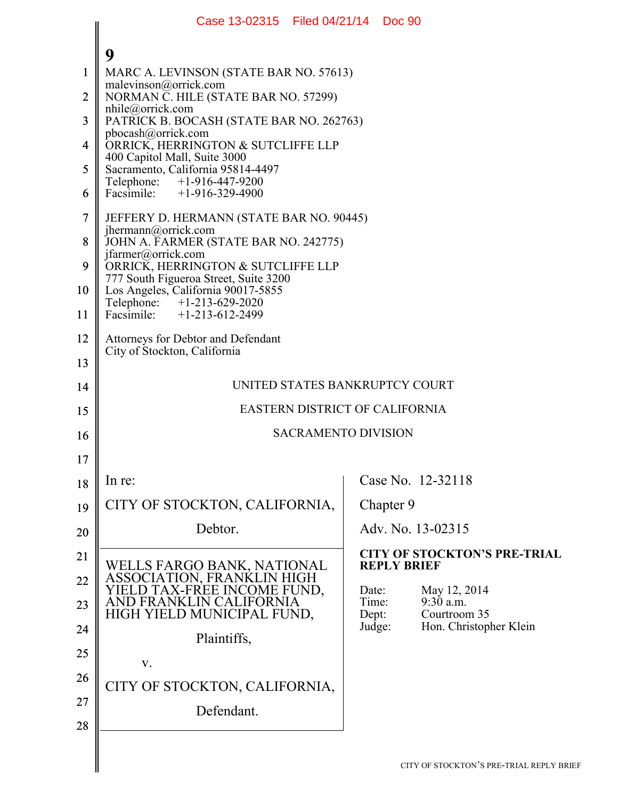|                | Case 13-02315 Filed 04/21/14 Doc 90                                                                       |       |                    |                                       |  |  |  |
|----------------|-----------------------------------------------------------------------------------------------------------|-------|--------------------|---------------------------------------|--|--|--|
|                |                                                                                                           |       |                    |                                       |  |  |  |
| 1              | 9<br>MARC A. LEVINSON (STATE BAR NO. 57613)                                                               |       |                    |                                       |  |  |  |
| $\overline{2}$ | malevinson@orrick.com<br>NORMAN C. HILE (STATE BAR NO. 57299)                                             |       |                    |                                       |  |  |  |
| 3              | $n$ hile@orrick.com<br>PATRICK B. BOCASH (STATE BAR NO. 262763)                                           |       |                    |                                       |  |  |  |
| 4              | pbocash@orrick.com<br>ORRICK, HERRINGTON & SUTCLIFFE LLP                                                  |       |                    |                                       |  |  |  |
| 5              | 400 Capitol Mall, Suite 3000<br>Sacramento, California 95814-4497                                         |       |                    |                                       |  |  |  |
| 6              | Telephone: +1-916-447-9200<br>Facsimile: $+1-916-329-4900$                                                |       |                    |                                       |  |  |  |
| $\overline{7}$ | JEFFERY D. HERMANN (STATE BAR NO. 90445)<br>jhermann@orrick.com                                           |       |                    |                                       |  |  |  |
| 8              | JOHN A. FARMER (STATE BAR NO. 242775)                                                                     |       |                    |                                       |  |  |  |
| 9              | jfarmer@orrick.com<br>ORRICK, HERRINGTON & SUTCLIFFE LLP                                                  |       |                    |                                       |  |  |  |
| 10             | 777 South Figueroa Street, Suite 3200<br>Los Angeles, California 90017-5855<br>Telephone: +1-213-629-2020 |       |                    |                                       |  |  |  |
| 11             | Facsimile: $+1-213-612-2499$                                                                              |       |                    |                                       |  |  |  |
| 12             | Attorneys for Debtor and Defendant<br>City of Stockton, California                                        |       |                    |                                       |  |  |  |
| 13             |                                                                                                           |       |                    |                                       |  |  |  |
| 14             | UNITED STATES BANKRUPTCY COURT                                                                            |       |                    |                                       |  |  |  |
| 15             | <b>EASTERN DISTRICT OF CALIFORNIA</b>                                                                     |       |                    |                                       |  |  |  |
| 16             | <b>SACRAMENTO DIVISION</b>                                                                                |       |                    |                                       |  |  |  |
| 17             |                                                                                                           |       |                    |                                       |  |  |  |
| 18             | In re:                                                                                                    |       |                    | Case No. 12-32118                     |  |  |  |
| 19             | CITY OF STOCKTON, CALIFORNIA,                                                                             |       | Chapter 9          |                                       |  |  |  |
| 20             | Debtor.                                                                                                   |       |                    | Adv. No. 13-02315                     |  |  |  |
| 21             |                                                                                                           |       | <b>REPLY BRIEF</b> | <b>CITY OF STOCKTON'S PRE-TRIAL</b>   |  |  |  |
| 22             | WELLS FARGO BANK, NATIONAL<br>ASSOCIATION, FRANKLIN HIGH<br>YIELD TAX-FREE INCOME FUND,                   | Date: |                    | May 12, 2014                          |  |  |  |
| 23             | AND FRANKLIN CALIFORNIA<br>HIGH YIELD MUNICIPAL FUND,                                                     | Dept: | Time:              | 9:30 a.m.<br>Courtroom 35             |  |  |  |
| 24             | Plaintiffs,                                                                                               |       | Judge:             | Hon. Christopher Klein                |  |  |  |
| 25             | V.                                                                                                        |       |                    |                                       |  |  |  |
| 26             | CITY OF STOCKTON, CALIFORNIA,                                                                             |       |                    |                                       |  |  |  |
| 27             | Defendant.                                                                                                |       |                    |                                       |  |  |  |
| 28             |                                                                                                           |       |                    |                                       |  |  |  |
|                |                                                                                                           |       |                    | CITY OF STOCKTON'S PRE-TRIAL REPLY BI |  |  |  |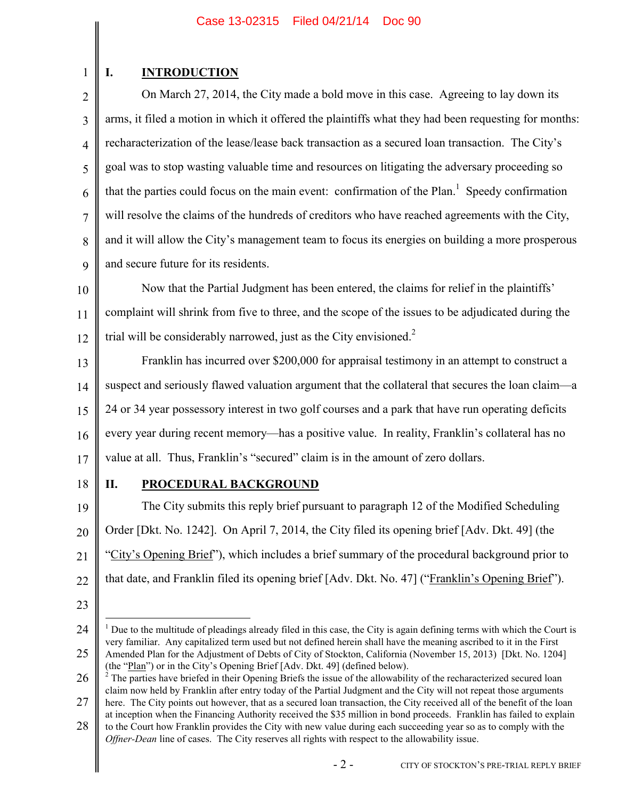# 1

# **I. INTRODUCTION**

2 3 4 5 6 7 8 9 On March 27, 2014, the City made a bold move in this case. Agreeing to lay down its arms, it filed a motion in which it offered the plaintiffs what they had been requesting for months: recharacterization of the lease/lease back transaction as a secured loan transaction. The City's goal was to stop wasting valuable time and resources on litigating the adversary proceeding so that the parties could focus on the main event: confirmation of the Plan.<sup>1</sup> Speedy confirmation will resolve the claims of the hundreds of creditors who have reached agreements with the City, and it will allow the City's management team to focus its energies on building a more prosperous and secure future for its residents.

10 11 12 Now that the Partial Judgment has been entered, the claims for relief in the plaintiffs' complaint will shrink from five to three, and the scope of the issues to be adjudicated during the trial will be considerably narrowed, just as the City envisioned.<sup>2</sup>

13 14 15 16 17 Franklin has incurred over \$200,000 for appraisal testimony in an attempt to construct a suspect and seriously flawed valuation argument that the collateral that secures the loan claim—a 24 or 34 year possessory interest in two golf courses and a park that have run operating deficits every year during recent memory—has a positive value. In reality, Franklin's collateral has no value at all. Thus, Franklin's "secured" claim is in the amount of zero dollars.

18

## **II. PROCEDURAL BACKGROUND**

19 20 21 22 The City submits this reply brief pursuant to paragraph 12 of the Modified Scheduling Order [Dkt. No. 1242]. On April 7, 2014, the City filed its opening brief [Adv. Dkt. 49] (the "City's Opening Brief"), which includes a brief summary of the procedural background prior to that date, and Franklin filed its opening brief [Adv. Dkt. No. 47] ("Franklin's Opening Brief").

23

 $\overline{a}$ 

<sup>24</sup> 25 <sup>1</sup> Due to the multitude of pleadings already filed in this case, the City is again defining terms with which the Court is very familiar. Any capitalized term used but not defined herein shall have the meaning ascribed to it in the First Amended Plan for the Adjustment of Debts of City of Stockton, California (November 15, 2013) [Dkt. No. 1204] (the "Plan") or in the City's Opening Brief [Adv. Dkt. 49] (defined below).

<sup>26</sup>  $2$  The parties have briefed in their Opening Briefs the issue of the allowability of the recharacterized secured loan claim now held by Franklin after entry today of the Partial Judgment and the City will not repeat those arguments

<sup>27</sup> here. The City points out however, that as a secured loan transaction, the City received all of the benefit of the loan at inception when the Financing Authority received the \$35 million in bond proceeds. Franklin has failed to explain

<sup>28</sup> to the Court how Franklin provides the City with new value during each succeeding year so as to comply with the *Offner-Dean* line of cases. The City reserves all rights with respect to the allowability issue.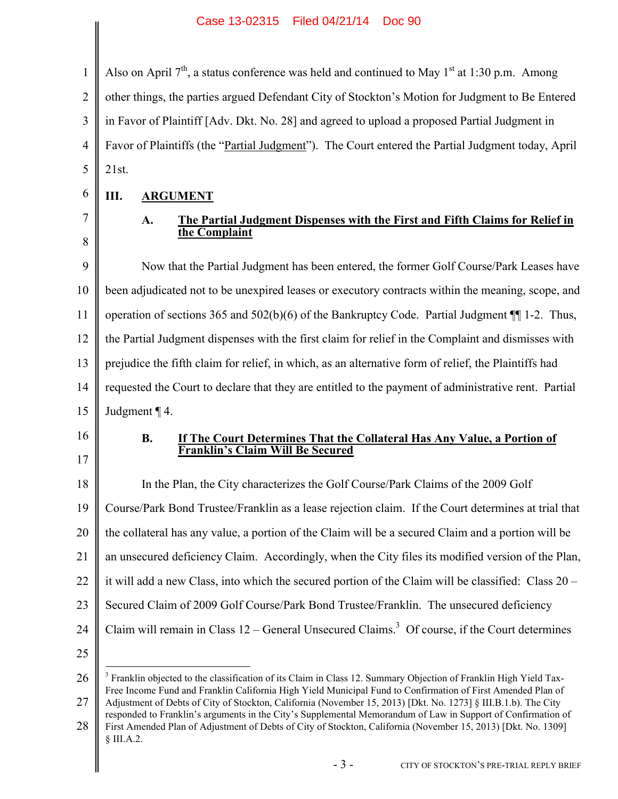1 2 3 4 5 Also on April  $7<sup>th</sup>$ , a status conference was held and continued to May 1<sup>st</sup> at 1:30 p.m. Among other things, the parties argued Defendant City of Stockton's Motion for Judgment to Be Entered in Favor of Plaintiff [Adv. Dkt. No. 28] and agreed to upload a proposed Partial Judgment in Favor of Plaintiffs (the "Partial Judgment"). The Court entered the Partial Judgment today, April 21st.

6 **III. ARGUMENT**

7 8

### **A. The Partial Judgment Dispenses with the First and Fifth Claims for Relief in the Complaint**

9 10 11 12 13 14 15 Now that the Partial Judgment has been entered, the former Golf Course/Park Leases have been adjudicated not to be unexpired leases or executory contracts within the meaning, scope, and operation of sections 365 and 502(b)(6) of the Bankruptcy Code. Partial Judgment ¶¶ 1-2. Thus, the Partial Judgment dispenses with the first claim for relief in the Complaint and dismisses with prejudice the fifth claim for relief, in which, as an alternative form of relief, the Plaintiffs had requested the Court to declare that they are entitled to the payment of administrative rent. Partial Judgment ¶ 4.

16

17

#### **B. If The Court Determines That the Collateral Has Any Value, a Portion of Franklin's Claim Will Be Secured**

18 19 20 21 22 23 24 25 In the Plan, the City characterizes the Golf Course/Park Claims of the 2009 Golf Course/Park Bond Trustee/Franklin as a lease rejection claim. If the Court determines at trial that the collateral has any value, a portion of the Claim will be a secured Claim and a portion will be an unsecured deficiency Claim. Accordingly, when the City files its modified version of the Plan, it will add a new Class, into which the secured portion of the Claim will be classified: Class 20 – Secured Claim of 2009 Golf Course/Park Bond Trustee/Franklin. The unsecured deficiency Claim will remain in Class  $12$  – General Unsecured Claims.<sup>3</sup> Of course, if the Court determines  $\overline{a}$ 

<sup>26</sup> 27  $3$  Franklin objected to the classification of its Claim in Class 12. Summary Objection of Franklin High Yield Tax-Free Income Fund and Franklin California High Yield Municipal Fund to Confirmation of First Amended Plan of Adjustment of Debts of City of Stockton, California (November 15, 2013) [Dkt. No. 1273] § III.B.1.b). The City

<sup>28</sup> responded to Franklin's arguments in the City's Supplemental Memorandum of Law in Support of Confirmation of First Amended Plan of Adjustment of Debts of City of Stockton, California (November 15, 2013) [Dkt. No. 1309]

<sup>§</sup> III.A.2.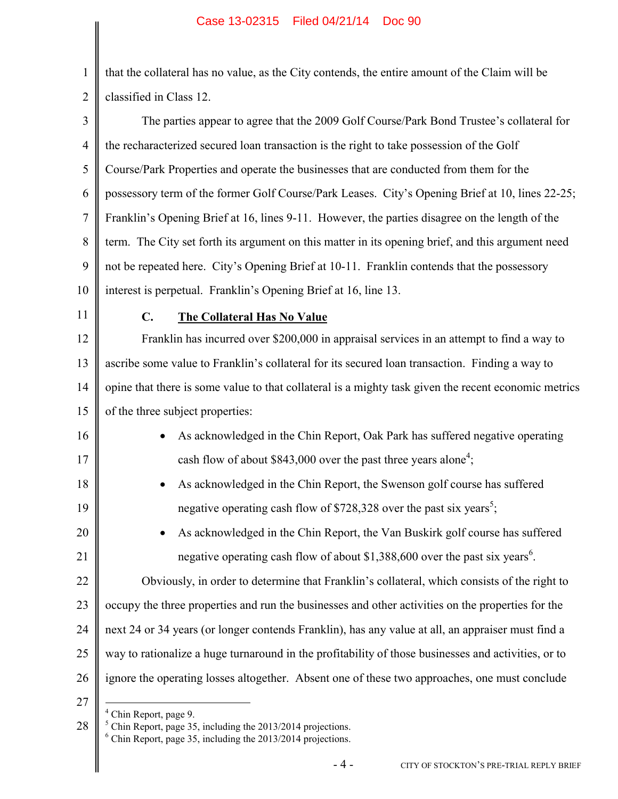1 2 that the collateral has no value, as the City contends, the entire amount of the Claim will be classified in Class 12.

3 4 5 6 7 8 9 10 The parties appear to agree that the 2009 Golf Course/Park Bond Trustee's collateral for the recharacterized secured loan transaction is the right to take possession of the Golf Course/Park Properties and operate the businesses that are conducted from them for the possessory term of the former Golf Course/Park Leases. City's Opening Brief at 10, lines 22-25; Franklin's Opening Brief at 16, lines 9-11. However, the parties disagree on the length of the term. The City set forth its argument on this matter in its opening brief, and this argument need not be repeated here. City's Opening Brief at 10-11. Franklin contends that the possessory interest is perpetual. Franklin's Opening Brief at 16, line 13.

11

16

17

18

19

20

21

### **C. The Collateral Has No Value**

12 13 14 15 Franklin has incurred over \$200,000 in appraisal services in an attempt to find a way to ascribe some value to Franklin's collateral for its secured loan transaction. Finding a way to opine that there is some value to that collateral is a mighty task given the recent economic metrics of the three subject properties:

- As acknowledged in the Chin Report, Oak Park has suffered negative operating cash flow of about \$843,000 over the past three years alone<sup>4</sup>;
	- As acknowledged in the Chin Report, the Swenson golf course has suffered negative operating cash flow of \$728,328 over the past six years<sup>5</sup>;
		- As acknowledged in the Chin Report, the Van Buskirk golf course has suffered negative operating cash flow of about \$1,388,600 over the past six years<sup>6</sup>.

22 23 24 25 26 Obviously, in order to determine that Franklin's collateral, which consists of the right to occupy the three properties and run the businesses and other activities on the properties for the next 24 or 34 years (or longer contends Franklin), has any value at all, an appraiser must find a way to rationalize a huge turnaround in the profitability of those businesses and activities, or to ignore the operating losses altogether. Absent one of these two approaches, one must conclude

27

 $\overline{a}$ 

 $4$  Chin Report, page 9.

28  $<sup>5</sup>$  Chin Report, page 35, including the 2013/2014 projections.</sup>  $6$  Chin Report, page 35, including the 2013/2014 projections.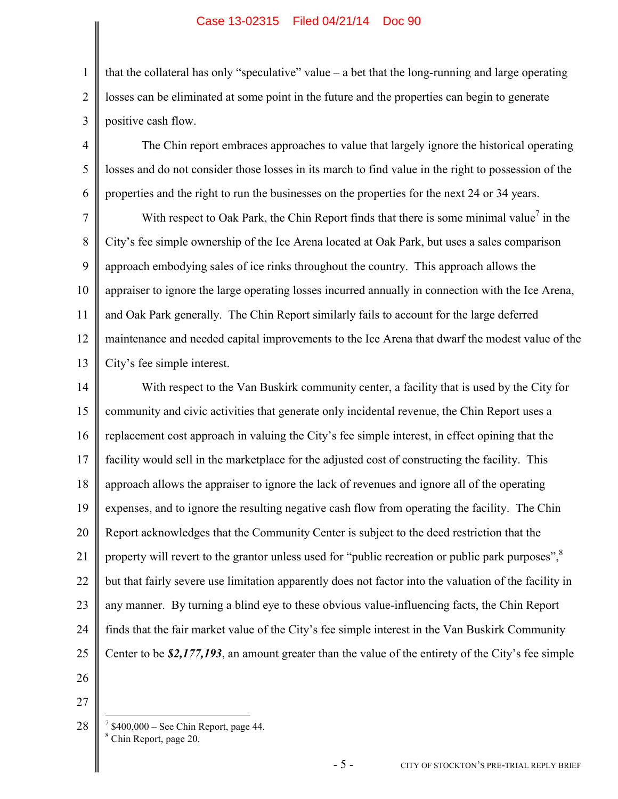#### Case 13-02315 Filed 04/21/14 Doc 90

2 3 that the collateral has only "speculative" value  $-$  a bet that the long-running and large operating losses can be eliminated at some point in the future and the properties can begin to generate positive cash flow.

4 5 6 The Chin report embraces approaches to value that largely ignore the historical operating losses and do not consider those losses in its march to find value in the right to possession of the properties and the right to run the businesses on the properties for the next 24 or 34 years.

7 8 9 10 11 12 13 With respect to Oak Park, the Chin Report finds that there is some minimal value<sup>7</sup> in the City's fee simple ownership of the Ice Arena located at Oak Park, but uses a sales comparison approach embodying sales of ice rinks throughout the country. This approach allows the appraiser to ignore the large operating losses incurred annually in connection with the Ice Arena, and Oak Park generally. The Chin Report similarly fails to account for the large deferred maintenance and needed capital improvements to the Ice Arena that dwarf the modest value of the City's fee simple interest.

14 15 16 17 18 19 20 21 22 23 24 25 With respect to the Van Buskirk community center, a facility that is used by the City for community and civic activities that generate only incidental revenue, the Chin Report uses a replacement cost approach in valuing the City's fee simple interest, in effect opining that the facility would sell in the marketplace for the adjusted cost of constructing the facility. This approach allows the appraiser to ignore the lack of revenues and ignore all of the operating expenses, and to ignore the resulting negative cash flow from operating the facility. The Chin Report acknowledges that the Community Center is subject to the deed restriction that the property will revert to the grantor unless used for "public recreation or public park purposes",  $\frac{8}{3}$ but that fairly severe use limitation apparently does not factor into the valuation of the facility in any manner. By turning a blind eye to these obvious value-influencing facts, the Chin Report finds that the fair market value of the City's fee simple interest in the Van Buskirk Community Center to be *\$2,177,193*, an amount greater than the value of the entirety of the City's fee simple

26

27

1

28  $\overline{a}$  $7$  \$400,000 – See Chin Report, page 44. <sup>8</sup> Chin Report, page 20.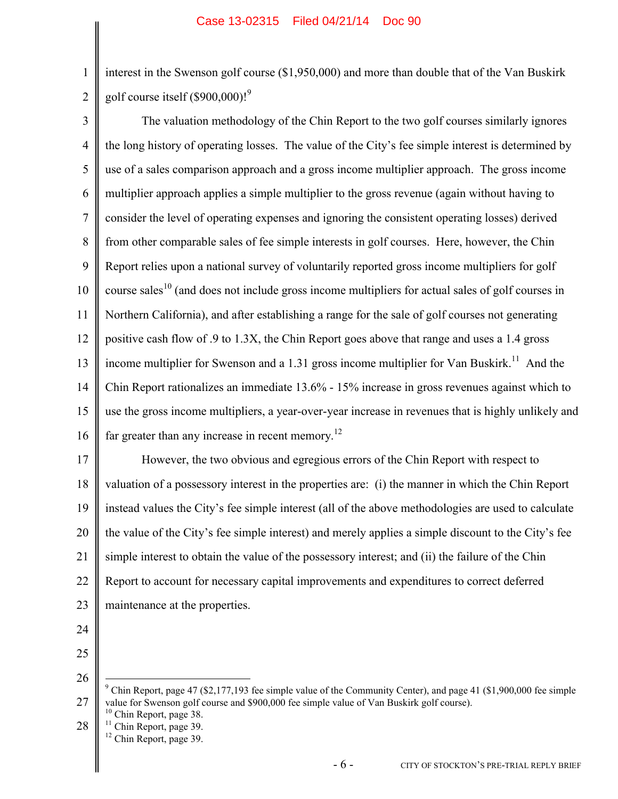interest in the Swenson golf course (\$1,950,000) and more than double that of the Van Buskirk golf course itself  $(\$900,000)$ !<sup>9</sup>

3 4 5 6 7 8 9 10 11 12 13 14 15 16 The valuation methodology of the Chin Report to the two golf courses similarly ignores the long history of operating losses. The value of the City's fee simple interest is determined by use of a sales comparison approach and a gross income multiplier approach. The gross income multiplier approach applies a simple multiplier to the gross revenue (again without having to consider the level of operating expenses and ignoring the consistent operating losses) derived from other comparable sales of fee simple interests in golf courses. Here, however, the Chin Report relies upon a national survey of voluntarily reported gross income multipliers for golf course sales<sup>10</sup> (and does not include gross income multipliers for actual sales of golf courses in Northern California), and after establishing a range for the sale of golf courses not generating positive cash flow of .9 to 1.3X, the Chin Report goes above that range and uses a 1.4 gross income multiplier for Swenson and a 1.31 gross income multiplier for Van Buskirk.<sup>11</sup> And the Chin Report rationalizes an immediate 13.6% - 15% increase in gross revenues against which to use the gross income multipliers, a year-over-year increase in revenues that is highly unlikely and far greater than any increase in recent memory.<sup>12</sup>

17 18 19 20 21 22 23 However, the two obvious and egregious errors of the Chin Report with respect to valuation of a possessory interest in the properties are: (i) the manner in which the Chin Report instead values the City's fee simple interest (all of the above methodologies are used to calculate the value of the City's fee simple interest) and merely applies a simple discount to the City's fee simple interest to obtain the value of the possessory interest; and (ii) the failure of the Chin Report to account for necessary capital improvements and expenditures to correct deferred maintenance at the properties.

24

1

2

25 26

 $\overline{a}$ 

<sup>27</sup> <sup>9</sup> Chin Report, page 47 (\$2,177,193 fee simple value of the Community Center), and page 41 (\$1,900,000 fee simple value for Swenson golf course and \$900,000 fee simple value of Van Buskirk golf course).

<sup>28</sup>  $10$  Chin Report, page 38.  $11$  Chin Report, page 39.  $12$  Chin Report, page 39.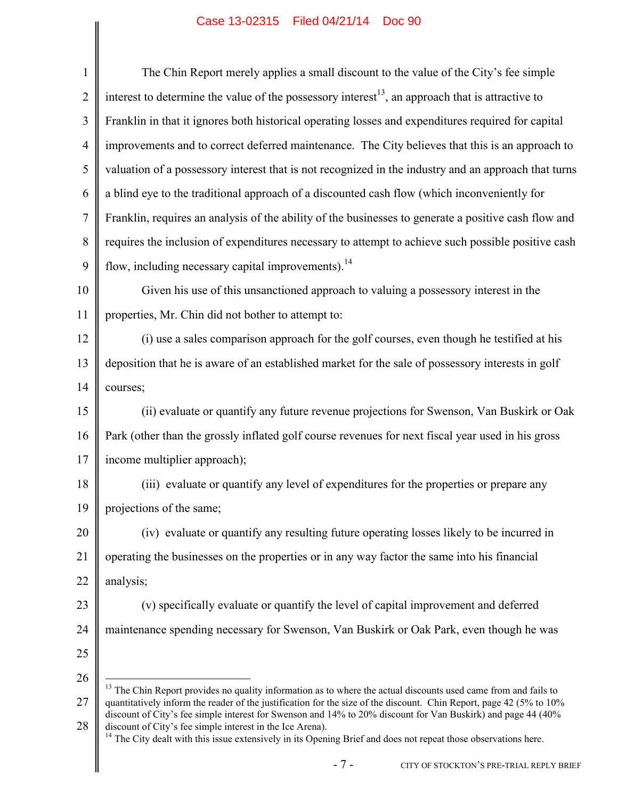|                | Case IS-023IS Filed 04/21/14 - DOC 90                                                                                                                                                                                                                                                                                                                                                                                          |  |  |  |  |  |
|----------------|--------------------------------------------------------------------------------------------------------------------------------------------------------------------------------------------------------------------------------------------------------------------------------------------------------------------------------------------------------------------------------------------------------------------------------|--|--|--|--|--|
| $\mathbf{1}$   | The Chin Report merely applies a small discount to the value of the City's fee simple                                                                                                                                                                                                                                                                                                                                          |  |  |  |  |  |
| $\overline{2}$ | interest to determine the value of the possessory interest <sup>13</sup> , an approach that is attractive to                                                                                                                                                                                                                                                                                                                   |  |  |  |  |  |
| 3              | Franklin in that it ignores both historical operating losses and expenditures required for capital                                                                                                                                                                                                                                                                                                                             |  |  |  |  |  |
| $\overline{4}$ | improvements and to correct deferred maintenance. The City believes that this is an approach to                                                                                                                                                                                                                                                                                                                                |  |  |  |  |  |
| 5              | valuation of a possessory interest that is not recognized in the industry and an approach that turns                                                                                                                                                                                                                                                                                                                           |  |  |  |  |  |
| 6              | a blind eye to the traditional approach of a discounted cash flow (which inconveniently for                                                                                                                                                                                                                                                                                                                                    |  |  |  |  |  |
| $\overline{7}$ | Franklin, requires an analysis of the ability of the businesses to generate a positive cash flow and                                                                                                                                                                                                                                                                                                                           |  |  |  |  |  |
| 8              | requires the inclusion of expenditures necessary to attempt to achieve such possible positive cash                                                                                                                                                                                                                                                                                                                             |  |  |  |  |  |
| 9              | flow, including necessary capital improvements). <sup>14</sup>                                                                                                                                                                                                                                                                                                                                                                 |  |  |  |  |  |
| 10             | Given his use of this unsanctioned approach to valuing a possessory interest in the                                                                                                                                                                                                                                                                                                                                            |  |  |  |  |  |
| 11             | properties, Mr. Chin did not bother to attempt to:                                                                                                                                                                                                                                                                                                                                                                             |  |  |  |  |  |
| 12             | (i) use a sales comparison approach for the golf courses, even though he testified at his                                                                                                                                                                                                                                                                                                                                      |  |  |  |  |  |
| 13             | deposition that he is aware of an established market for the sale of possessory interests in golf                                                                                                                                                                                                                                                                                                                              |  |  |  |  |  |
| 14             | courses;                                                                                                                                                                                                                                                                                                                                                                                                                       |  |  |  |  |  |
| 15             | (ii) evaluate or quantify any future revenue projections for Swenson, Van Buskirk or Oak                                                                                                                                                                                                                                                                                                                                       |  |  |  |  |  |
| 16             | Park (other than the grossly inflated golf course revenues for next fiscal year used in his gross                                                                                                                                                                                                                                                                                                                              |  |  |  |  |  |
| 17             | income multiplier approach);                                                                                                                                                                                                                                                                                                                                                                                                   |  |  |  |  |  |
| 18             | (iii) evaluate or quantify any level of expenditures for the properties or prepare any                                                                                                                                                                                                                                                                                                                                         |  |  |  |  |  |
| 19             | projections of the same;                                                                                                                                                                                                                                                                                                                                                                                                       |  |  |  |  |  |
| 20             | (iv) evaluate or quantify any resulting future operating losses likely to be incurred in                                                                                                                                                                                                                                                                                                                                       |  |  |  |  |  |
| 21             | operating the businesses on the properties or in any way factor the same into his financial                                                                                                                                                                                                                                                                                                                                    |  |  |  |  |  |
| 22             | analysis;                                                                                                                                                                                                                                                                                                                                                                                                                      |  |  |  |  |  |
| 23             | (v) specifically evaluate or quantify the level of capital improvement and deferred                                                                                                                                                                                                                                                                                                                                            |  |  |  |  |  |
| 24             | maintenance spending necessary for Swenson, Van Buskirk or Oak Park, even though he was                                                                                                                                                                                                                                                                                                                                        |  |  |  |  |  |
| 25             |                                                                                                                                                                                                                                                                                                                                                                                                                                |  |  |  |  |  |
| 26             | <sup>13</sup> The Chin Report provides no quality information as to where the actual discounts used came from and fails to                                                                                                                                                                                                                                                                                                     |  |  |  |  |  |
| 27             | quantitatively inform the reader of the justification for the size of the discount. Chin Report, page 42 (5% to 10%<br>discount of City's fee simple interest for Swenson and 14% to 20% discount for Van Buskirk) and page 44 (40%<br>discount of City's fee simple interest in the Ice Arena).<br><sup>14</sup> The City dealt with this issue extensively in its Opening Brief and does not repeat those observations here. |  |  |  |  |  |
| 28             |                                                                                                                                                                                                                                                                                                                                                                                                                                |  |  |  |  |  |
|                | $-7-$<br>CITY OF STOCKTON'S PRE-TRIAL REPLY BRIEF                                                                                                                                                                                                                                                                                                                                                                              |  |  |  |  |  |
|                |                                                                                                                                                                                                                                                                                                                                                                                                                                |  |  |  |  |  |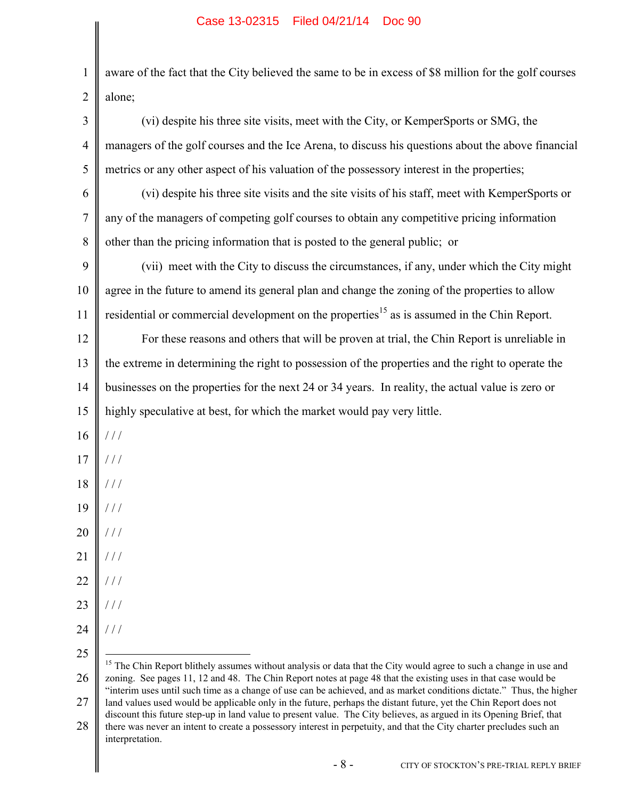1 2 3 4 5 6 7 8 9 10 11 12 13 14 15 16 17 18 19 20 21 22 23 24 25 26 27 28 aware of the fact that the City believed the same to be in excess of \$8 million for the golf courses alone; (vi) despite his three site visits, meet with the City, or KemperSports or SMG, the managers of the golf courses and the Ice Arena, to discuss his questions about the above financial metrics or any other aspect of his valuation of the possessory interest in the properties; (vi) despite his three site visits and the site visits of his staff, meet with KemperSports or any of the managers of competing golf courses to obtain any competitive pricing information other than the pricing information that is posted to the general public; or (vii) meet with the City to discuss the circumstances, if any, under which the City might agree in the future to amend its general plan and change the zoning of the properties to allow residential or commercial development on the properties<sup>15</sup> as is assumed in the Chin Report. For these reasons and others that will be proven at trial, the Chin Report is unreliable in the extreme in determining the right to possession of the properties and the right to operate the businesses on the properties for the next 24 or 34 years. In reality, the actual value is zero or highly speculative at best, for which the market would pay very little.  $/$  /  $/$ / / /  $/$  /  $/$ / / / / / /  $1/1$ / / / / / /  $//$  $\overline{a}$ <sup>15</sup> The Chin Report blithely assumes without analysis or data that the City would agree to such a change in use and zoning. See pages 11, 12 and 48. The Chin Report notes at page 48 that the existing uses in that case would be "interim uses until such time as a change of use can be achieved, and as market conditions dictate." Thus, the higher land values used would be applicable only in the future, perhaps the distant future, yet the Chin Report does not discount this future step-up in land value to present value. The City believes, as argued in its Opening Brief, that there was never an intent to create a possessory interest in perpetuity, and that the City charter precludes such an

interpretation.